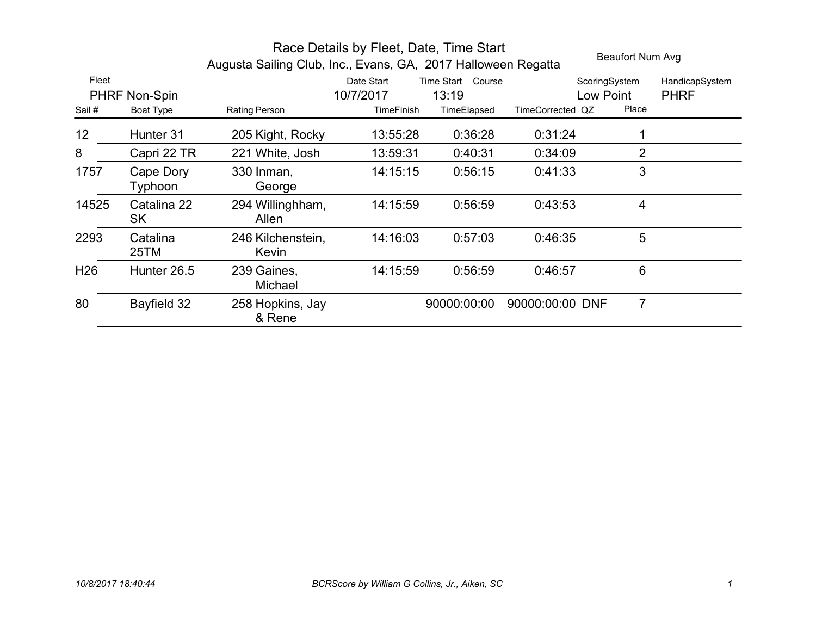|                 |                      | Augusta Sailing Club, Inc., Evans, GA, 2017 Halloween Regatta |            |                   |                  | Beaufort Num Avg |                |
|-----------------|----------------------|---------------------------------------------------------------|------------|-------------------|------------------|------------------|----------------|
| Fleet           |                      |                                                               | Date Start | Time Start Course |                  | ScoringSystem    | HandicapSystem |
|                 | PHRF Non-Spin        |                                                               | 10/7/2017  | 13:19             |                  | Low Point        | <b>PHRF</b>    |
| Sail#           | Boat Type            | Rating Person                                                 | TimeFinish | TimeElapsed       | TimeCorrected QZ | Place            |                |
| 12              | Hunter 31            | 205 Kight, Rocky                                              | 13:55:28   | 0:36:28           | 0.31:24          |                  |                |
| 8               | Capri 22 TR          | 221 White, Josh                                               | 13:59:31   | 0:40:31           | 0:34:09          | $\overline{2}$   |                |
| 1757            | Cape Dory<br>Typhoon | 330 Inman,<br>George                                          | 14:15:15   | 0:56:15           | 0:41:33          | 3                |                |
| 14525           | Catalina 22<br>SK    | 294 Willinghham,<br>Allen                                     | 14:15:59   | 0:56:59           | 0:43:53          | 4                |                |
| 2293            | Catalina<br>25TM     | 246 Kilchenstein,<br>Kevin                                    | 14:16:03   | 0:57:03           | 0:46:35          | 5                |                |
| H <sub>26</sub> | Hunter 26.5          | 239 Gaines,<br>Michael                                        | 14:15:59   | 0:56:59           | 0:46:57          | 6                |                |
| 80              | Bayfield 32          | 258 Hopkins, Jay<br>& Rene                                    |            | 90000:00:00       | 90000:00:00 DNF  | $\overline{7}$   |                |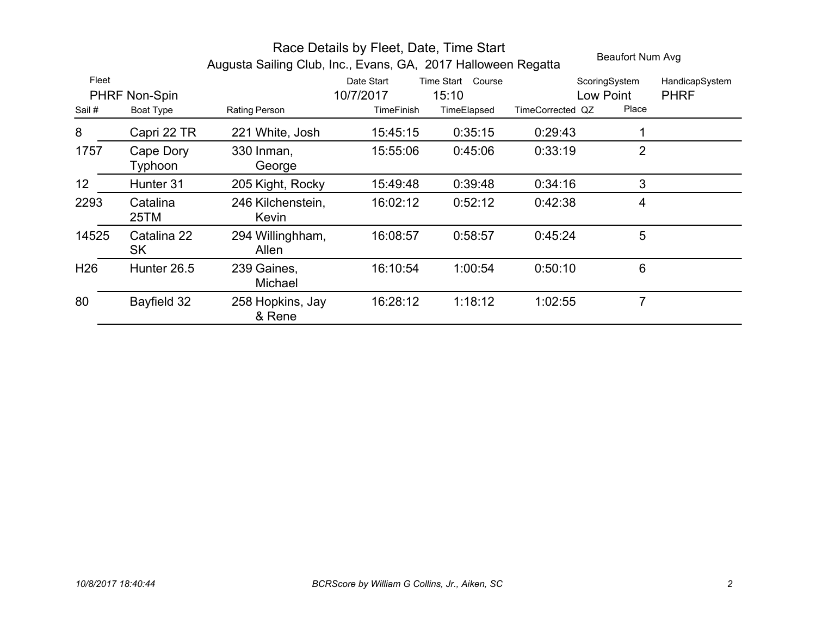|                 |                          | Augusta Sailing Club, Inc., Evans, GA, 2017 Halloween Regatta |                         |                               |                  | Beaufort Num Avg           |                               |
|-----------------|--------------------------|---------------------------------------------------------------|-------------------------|-------------------------------|------------------|----------------------------|-------------------------------|
| Fleet           | PHRF Non-Spin            |                                                               | Date Start<br>10/7/2017 | Time Start<br>Course<br>15:10 |                  | ScoringSystem<br>Low Point | HandicapSystem<br><b>PHRF</b> |
| Sail#           | Boat Type                | Rating Person                                                 | TimeFinish              | TimeElapsed                   | TimeCorrected QZ | Place                      |                               |
| 8               | Capri 22 TR              | 221 White, Josh                                               | 15:45:15                | 0:35:15                       | 0:29:43          |                            |                               |
| 1757            | Cape Dory<br>Typhoon     | 330 Inman,<br>George                                          | 15:55:06                | 0:45:06                       | 0:33:19          | 2                          |                               |
| 12              | Hunter 31                | 205 Kight, Rocky                                              | 15:49:48                | 0:39:48                       | 0:34:16          | 3                          |                               |
| 2293            | Catalina<br>25TM         | 246 Kilchenstein,<br>Kevin                                    | 16:02:12                | 0:52:12                       | 0:42:38          | 4                          |                               |
| 14525           | Catalina 22<br><b>SK</b> | 294 Willinghham,<br>Allen                                     | 16:08:57                | 0:58:57                       | 0:45:24          | 5                          |                               |
| H <sub>26</sub> | Hunter 26.5              | 239 Gaines,<br>Michael                                        | 16:10:54                | 1:00:54                       | 0:50:10          | 6                          |                               |
| 80              | Bayfield 32              | 258 Hopkins, Jay<br>& Rene                                    | 16:28:12                | 1:18:12                       | 1:02:55          | $\overline{7}$             |                               |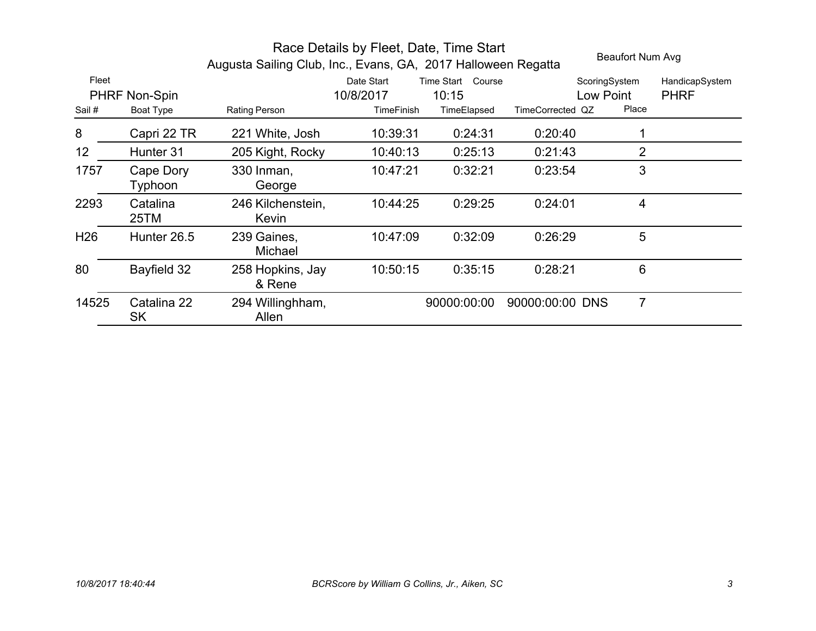|                 |                      | Augusta Sailing Club, Inc., Evans, GA, 2017 Halloween Regatta |                         |                               |                  | Beaufort Num Avg           |                               |
|-----------------|----------------------|---------------------------------------------------------------|-------------------------|-------------------------------|------------------|----------------------------|-------------------------------|
| Fleet           | PHRF Non-Spin        |                                                               | Date Start<br>10/8/2017 | Time Start<br>Course<br>10:15 |                  | ScoringSystem<br>Low Point | HandicapSystem<br><b>PHRF</b> |
| Sail#           | Boat Type            | Rating Person                                                 | TimeFinish              | TimeElapsed                   | TimeCorrected QZ | Place                      |                               |
| 8               | Capri 22 TR          | 221 White, Josh                                               | 10:39:31                | 0:24:31                       | 0:20:40          |                            |                               |
| 12              | Hunter 31            | 205 Kight, Rocky                                              | 10:40:13                | 0:25:13                       | 0:21:43          | 2                          |                               |
| 1757            | Cape Dory<br>Typhoon | 330 Inman,<br>George                                          | 10:47:21                | 0:32:21                       | 0:23:54          | 3                          |                               |
| 2293            | Catalina<br>25TM     | 246 Kilchenstein,<br>Kevin                                    | 10:44:25                | 0:29:25                       | 0:24:01          | 4                          |                               |
| H <sub>26</sub> | Hunter 26.5          | 239 Gaines,<br>Michael                                        | 10:47:09                | 0:32:09                       | 0:26:29          | 5                          |                               |
| 80              | Bayfield 32          | 258 Hopkins, Jay<br>& Rene                                    | 10:50:15                | 0:35:15                       | 0:28:21          | 6                          |                               |
| 14525           | Catalina 22<br>SK    | 294 Willinghham,<br>Allen                                     |                         | 90000:00:00                   | 90000:00:00 DNS  | $\overline{7}$             |                               |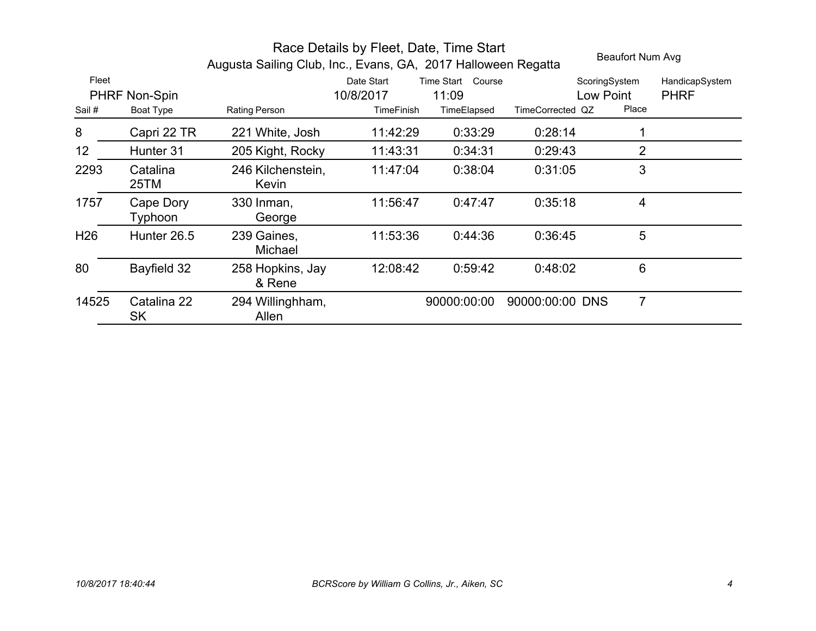|                 |                          | Augusta Sailing Club, Inc., Evans, GA, 2017 Halloween Regatta |                         | Beaufort Num Avg              |                  |                            |                               |
|-----------------|--------------------------|---------------------------------------------------------------|-------------------------|-------------------------------|------------------|----------------------------|-------------------------------|
| Fleet           | PHRF Non-Spin            |                                                               | Date Start<br>10/8/2017 | Time Start<br>Course<br>11:09 |                  | ScoringSystem<br>Low Point | HandicapSystem<br><b>PHRF</b> |
| Sail#           | Boat Type                | Rating Person                                                 | TimeFinish              | TimeElapsed                   | TimeCorrected QZ | Place                      |                               |
| 8               | Capri 22 TR              | 221 White, Josh                                               | 11:42:29                | 0:33:29                       | 0:28:14          |                            |                               |
| 12 <sub>2</sub> | Hunter 31                | 205 Kight, Rocky                                              | 11:43:31                | 0:34:31                       | 0:29:43          | 2                          |                               |
| 2293            | Catalina<br>25TM         | 246 Kilchenstein,<br>Kevin                                    | 11:47:04                | 0:38:04                       | 0:31:05          | 3                          |                               |
| 1757            | Cape Dory<br>Typhoon     | 330 Inman,<br>George                                          | 11:56:47                | 0:47:47                       | 0:35:18          | 4                          |                               |
| H <sub>26</sub> | Hunter 26.5              | 239 Gaines,<br>Michael                                        | 11:53:36                | 0:44:36                       | 0:36:45          | 5                          |                               |
| 80              | Bayfield 32              | 258 Hopkins, Jay<br>& Rene                                    | 12:08:42                | 0:59:42                       | 0:48:02          | 6                          |                               |
| 14525           | Catalina 22<br><b>SK</b> | 294 Willinghham,<br>Allen                                     |                         | 90000:00:00                   | 90000:00:00 DNS  | 7                          |                               |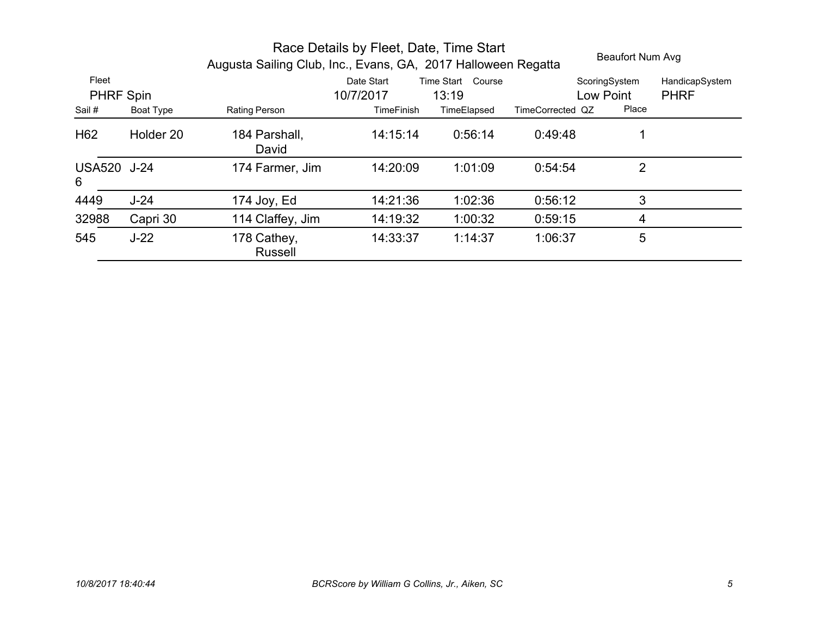|                           |                  | Race Details by Fleet, Date, Time Start<br>Beaufort Num Avg<br>Augusta Sailing Club, Inc., Evans, GA, 2017 Halloween Regatta |                         |                            |                  |                            |                               |  |
|---------------------------|------------------|------------------------------------------------------------------------------------------------------------------------------|-------------------------|----------------------------|------------------|----------------------------|-------------------------------|--|
| Fleet<br><b>PHRF Spin</b> |                  |                                                                                                                              | Date Start<br>10/7/2017 | Time Start Course<br>13:19 |                  | ScoringSystem<br>Low Point | HandicapSystem<br><b>PHRF</b> |  |
| Sail #                    | <b>Boat Type</b> | Rating Person                                                                                                                | <b>TimeFinish</b>       | TimeElapsed                | TimeCorrected QZ | Place                      |                               |  |
| H <sub>62</sub>           | Holder 20        | 184 Parshall,<br>David                                                                                                       | 14:15:14                | 0:56:14                    | 0:49:48          | 1                          |                               |  |
| <b>USA520 J-24</b><br>6   |                  | 174 Farmer, Jim                                                                                                              | 14:20:09                | 1:01:09                    | 0:54:54          | $\overline{2}$             |                               |  |
| 4449                      | $J-24$           | 174 Joy, Ed                                                                                                                  | 14:21:36                | 1:02:36                    | 0:56:12          | 3                          |                               |  |
| 32988                     | Capri 30         | 114 Claffey, Jim                                                                                                             | 14:19:32                | 1:00:32                    | 0:59:15          | 4                          |                               |  |
| 545                       | $J-22$           | 178 Cathey,<br><b>Russell</b>                                                                                                | 14:33:37                | 1:14:37                    | 1:06:37          | 5                          |                               |  |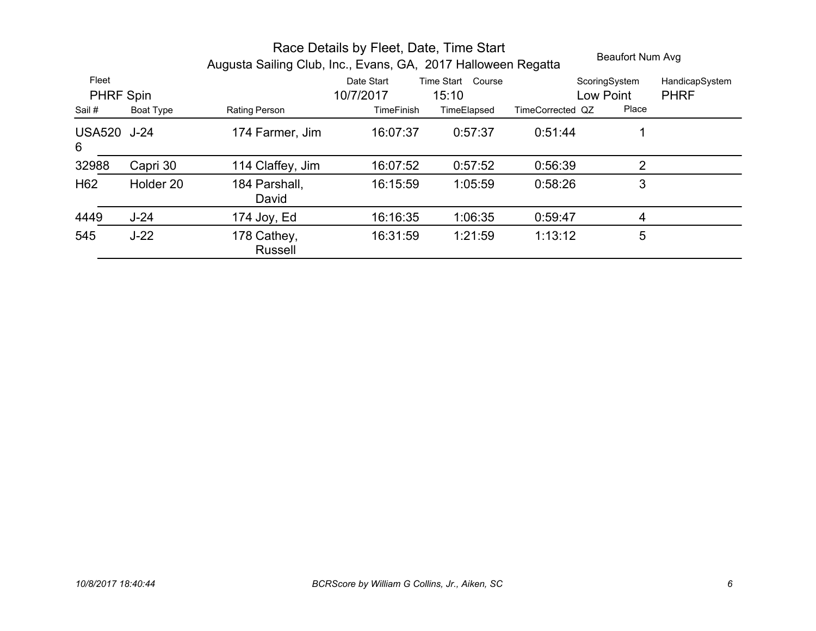|                           |                  | Race Details by Fleet, Date, Time Start<br>Beaufort Num Avg<br>Augusta Sailing Club, Inc., Evans, GA, 2017 Halloween Regatta |                         |                               |                  |                            |                               |  |
|---------------------------|------------------|------------------------------------------------------------------------------------------------------------------------------|-------------------------|-------------------------------|------------------|----------------------------|-------------------------------|--|
| Fleet<br><b>PHRF Spin</b> |                  |                                                                                                                              | Date Start<br>10/7/2017 | Time Start<br>Course<br>15:10 |                  | ScoringSystem<br>Low Point | HandicapSystem<br><b>PHRF</b> |  |
| Sail #                    | <b>Boat Type</b> | Rating Person                                                                                                                | TimeFinish              | TimeElapsed                   | TimeCorrected QZ | Place                      |                               |  |
| <b>USA520 J-24</b><br>6   |                  | 174 Farmer, Jim                                                                                                              | 16:07:37                | 0:57:37                       | 0.51:44          |                            |                               |  |
| 32988                     | Capri 30         | 114 Claffey, Jim                                                                                                             | 16:07:52                | 0.57:52                       | 0:56:39          | 2                          |                               |  |
| H <sub>62</sub>           | Holder 20        | 184 Parshall,<br>David                                                                                                       | 16:15:59                | 1:05:59                       | 0:58:26          | 3                          |                               |  |
| 4449                      | $J-24$           | 174 Joy, Ed                                                                                                                  | 16:16:35                | 1:06:35                       | 0:59:47          | 4                          |                               |  |
| 545                       | $J-22$           | 178 Cathey,<br><b>Russell</b>                                                                                                | 16:31:59                | 1:21:59                       | 1:13:12          | 5                          |                               |  |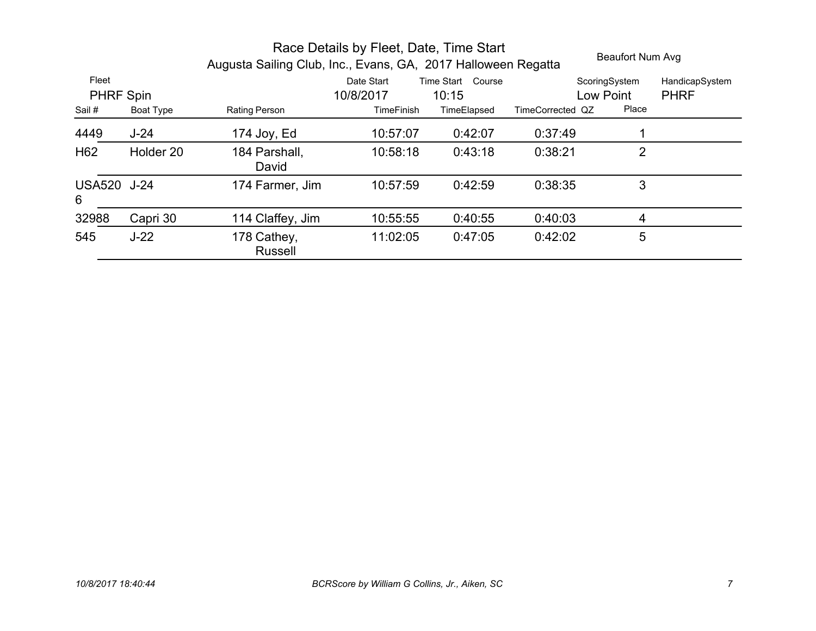|                           |                  | Race Details by Fleet, Date, Time Start<br>Beaufort Num Avg<br>Augusta Sailing Club, Inc., Evans, GA, 2017 Halloween Regatta |                         |                               |                  |                            |                               |  |
|---------------------------|------------------|------------------------------------------------------------------------------------------------------------------------------|-------------------------|-------------------------------|------------------|----------------------------|-------------------------------|--|
| Fleet<br><b>PHRF Spin</b> |                  |                                                                                                                              | Date Start<br>10/8/2017 | Time Start<br>Course<br>10:15 |                  | ScoringSystem<br>Low Point | HandicapSystem<br><b>PHRF</b> |  |
| Sail#                     | <b>Boat Type</b> | Rating Person                                                                                                                | <b>TimeFinish</b>       | TimeElapsed                   | TimeCorrected QZ | Place                      |                               |  |
| 4449                      | $J-24$           | 174 Joy, $Ed$                                                                                                                | 10:57:07                | 0:42:07                       | 0.37.49          |                            |                               |  |
| H <sub>62</sub>           | Holder 20        | 184 Parshall,<br>David                                                                                                       | 10:58:18                | 0:43:18                       | 0:38:21          | $\overline{2}$             |                               |  |
| <b>USA520 J-24</b><br>6   |                  | 174 Farmer, Jim                                                                                                              | 10:57:59                | 0:42:59                       | 0:38:35          | 3                          |                               |  |
| 32988                     | Capri 30         | 114 Claffey, Jim                                                                                                             | 10:55:55                | 0:40:55                       | 0:40:03          | 4                          |                               |  |
| 545                       | $J-22$           | 178 Cathey,<br><b>Russell</b>                                                                                                | 11:02:05                | 0:47:05                       | 0:42:02          | 5                          |                               |  |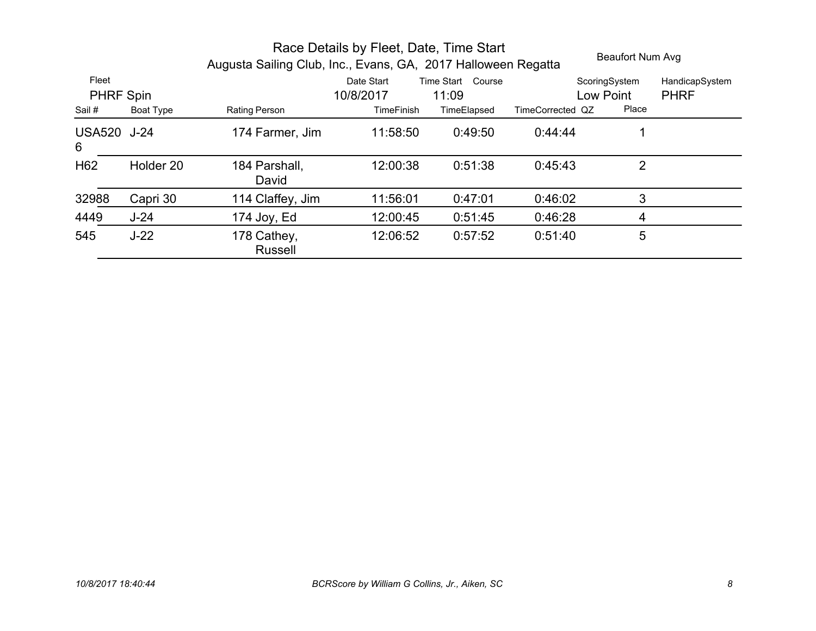|                           |                  | Race Details by Fleet, Date, Time Start<br>Beaufort Num Avg<br>Augusta Sailing Club, Inc., Evans, GA, 2017 Halloween Regatta |                         |                            |                  |                            |                               |  |
|---------------------------|------------------|------------------------------------------------------------------------------------------------------------------------------|-------------------------|----------------------------|------------------|----------------------------|-------------------------------|--|
| Fleet<br><b>PHRF Spin</b> |                  |                                                                                                                              | Date Start<br>10/8/2017 | Time Start Course<br>11:09 |                  | ScoringSystem<br>Low Point | HandicapSystem<br><b>PHRF</b> |  |
| Sail #                    | <b>Boat Type</b> | Rating Person                                                                                                                | <b>TimeFinish</b>       | TimeElapsed                | TimeCorrected QZ | Place                      |                               |  |
| <b>USA520 J-24</b><br>6   |                  | 174 Farmer, Jim                                                                                                              | 11:58:50                | 0:49:50                    | 0.44.44          |                            |                               |  |
| H <sub>62</sub>           | Holder 20        | 184 Parshall,<br>David                                                                                                       | 12:00:38                | 0:51:38                    | 0.45.43          | 2                          |                               |  |
| 32988                     | Capri 30         | 114 Claffey, Jim                                                                                                             | 11:56:01                | 0:47:01                    | 0:46:02          | 3                          |                               |  |
| 4449                      | $J-24$           | 174 Joy, $Ed$                                                                                                                | 12:00:45                | 0:51:45                    | 0:46:28          | 4                          |                               |  |
| 545                       | $J-22$           | 178 Cathey,<br><b>Russell</b>                                                                                                | 12:06:52                | 0:57:52                    | 0.51:40          | 5                          |                               |  |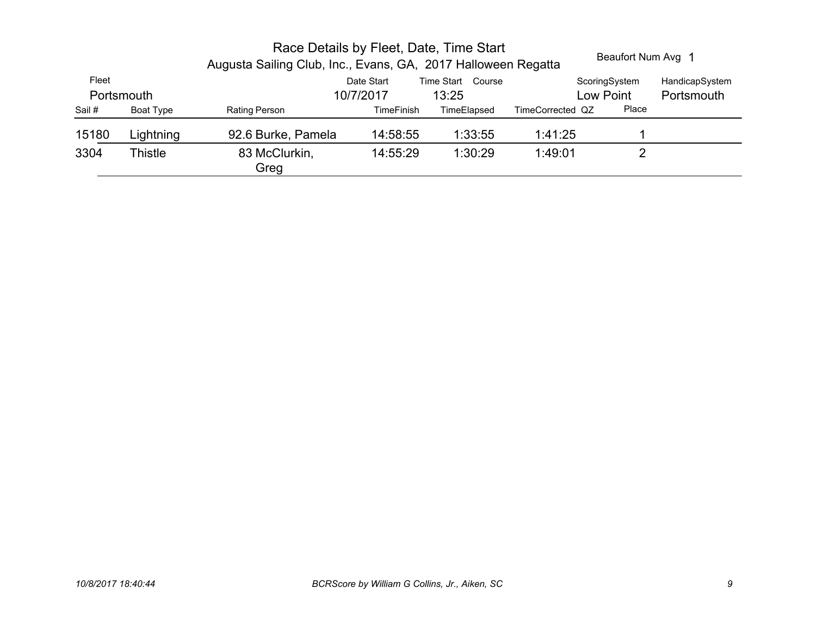|           |                       |                   | Beaufort Num Avg 1      |                            |                                                                                                          |                                                |
|-----------|-----------------------|-------------------|-------------------------|----------------------------|----------------------------------------------------------------------------------------------------------|------------------------------------------------|
|           |                       |                   |                         |                            |                                                                                                          | HandicapSystem                                 |
|           |                       |                   |                         |                            |                                                                                                          | Portsmouth                                     |
| Boat Type | Rating Person         | <b>TimeFinish</b> | TimeElapsed             |                            | Place                                                                                                    |                                                |
| Lightning | 92.6 Burke, Pamela    | 14:58:55          | 1:33:55                 | 1:41:25                    |                                                                                                          |                                                |
| Thistle   | 83 McClurkin,<br>Greg | 14:55:29          | 1:30:29                 | 1:49:01                    | 2                                                                                                        |                                                |
|           | Portsmouth            |                   | Date Start<br>10/7/2017 | Time Start Course<br>13:25 | Race Details by Fleet, Date, Time Start<br>Augusta Sailing Club, Inc., Evans, GA, 2017 Halloween Regatta | ScoringSystem<br>Low Point<br>TimeCorrected QZ |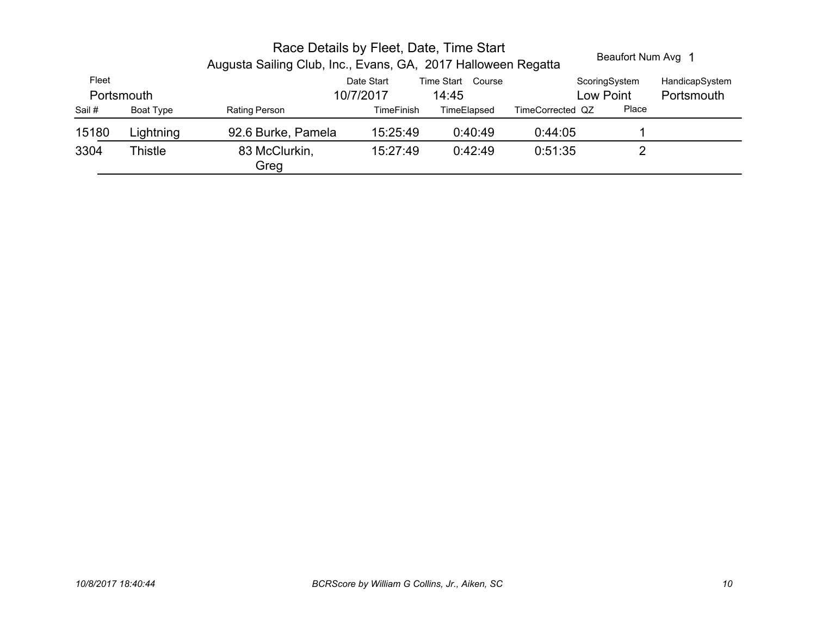|           |                       |                   | Beaufort Num Avg 1      |                   |                                                                                                          |                            |
|-----------|-----------------------|-------------------|-------------------------|-------------------|----------------------------------------------------------------------------------------------------------|----------------------------|
|           |                       |                   |                         |                   |                                                                                                          | HandicapSystem             |
|           |                       |                   | 14:45                   |                   |                                                                                                          | Portsmouth                 |
| Boat Type | Rating Person         | <b>TimeFinish</b> | TimeElapsed             | TimeCorrected QZ  | Place                                                                                                    |                            |
| Lightning | 92.6 Burke, Pamela    | 15:25:49          | 0:40:49                 | 0.44.05           |                                                                                                          |                            |
| Thistle   | 83 McClurkin,<br>Greg | 15:27:49          | 0:42:49                 | 0:51:35           |                                                                                                          |                            |
|           | Portsmouth            |                   | Date Start<br>10/7/2017 | Time Start Course | Race Details by Fleet, Date, Time Start<br>Augusta Sailing Club, Inc., Evans, GA, 2017 Halloween Regatta | ScoringSystem<br>Low Point |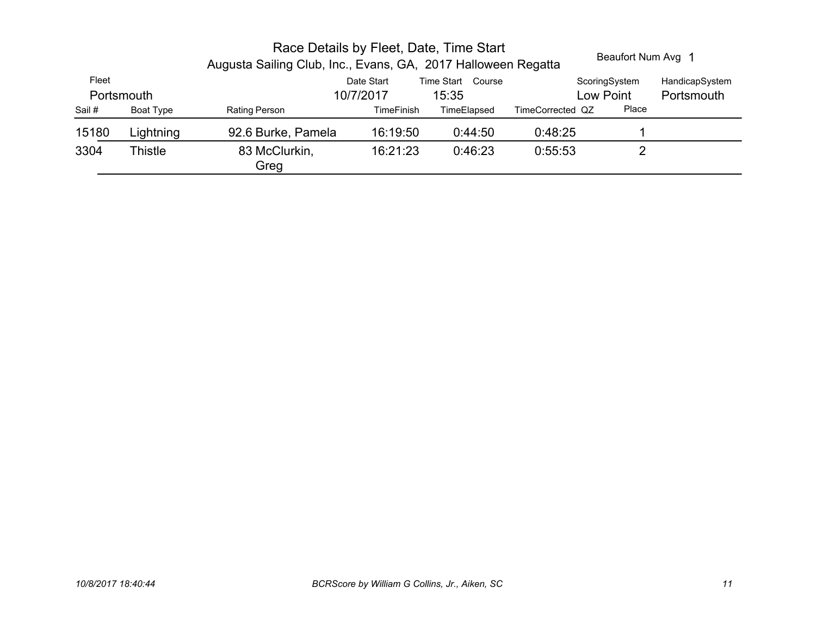|        |            | Race Details by Fleet, Date, Time Start<br>Augusta Sailing Club, Inc., Evans, GA, 2017 Halloween Regatta |                   | Beaufort Num Avg 1 |                  |               |                |
|--------|------------|----------------------------------------------------------------------------------------------------------|-------------------|--------------------|------------------|---------------|----------------|
| Fleet  |            |                                                                                                          | Date Start        | Time Start Course  |                  | ScoringSystem | HandicapSystem |
|        | Portsmouth |                                                                                                          | 10/7/2017         | 15:35              |                  | Low Point     | Portsmouth     |
| Sail # | Boat Type  | Rating Person                                                                                            | <b>TimeFinish</b> | TimeElapsed        | TimeCorrected QZ | Place         |                |
| 15180  | Lightning  | 92.6 Burke, Pamela                                                                                       | 16:19:50          | 0:44:50            | 0:48:25          |               |                |
| 3304   | Thistle    | 83 McClurkin,<br>Greg                                                                                    | 16:21:23          | 0:46:23            | 0:55:53          | າ             |                |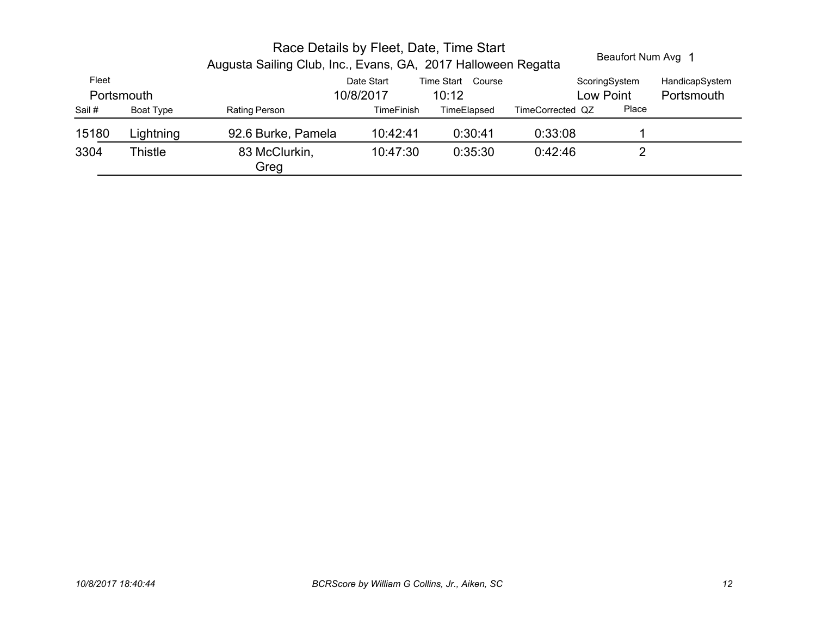|           |                       | Beaufort Num Avg 1 |                         |                            |                                                                                                          |                            |
|-----------|-----------------------|--------------------|-------------------------|----------------------------|----------------------------------------------------------------------------------------------------------|----------------------------|
|           |                       |                    |                         |                            |                                                                                                          | HandicapSystem             |
|           |                       |                    |                         |                            |                                                                                                          | Portsmouth                 |
| Boat Type | Rating Person         | <b>TimeFinish</b>  | TimeElapsed             | TimeCorrected QZ           | Place                                                                                                    |                            |
| Lightning | 92.6 Burke, Pamela    | 10:42:41           | 0:30:41                 | 0:33:08                    |                                                                                                          |                            |
| Thistle   | 83 McClurkin,<br>Greg | 10:47:30           | 0:35:30                 | 0.42.46                    | າ                                                                                                        |                            |
|           | Portsmouth            |                    | Date Start<br>10/8/2017 | Time Start Course<br>10:12 | Race Details by Fleet, Date, Time Start<br>Augusta Sailing Club, Inc., Evans, GA, 2017 Halloween Regatta | ScoringSystem<br>Low Point |